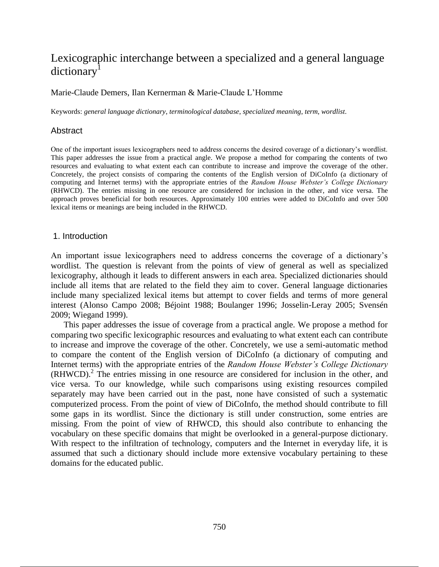# Lexicographic interchange between a specialized and a general language dictionary<sup>1</sup>

## Marie-Claude Demers, Ilan Kernerman & Marie-Claude L'Homme

Keywords: *general language dictionary*, *terminological database*, *specialized meaning*, *term*, *wordlist*.

### Abstract

One of the important issues lexicographers need to address concerns the desired coverage of a dictionary's wordlist. This paper addresses the issue from a practical angle. We propose a method for comparing the contents of two resources and evaluating to what extent each can contribute to increase and improve the coverage of the other. Concretely, the project consists of comparing the contents of the English version of DiCoInfo (a dictionary of computing and Internet terms) with the appropriate entries of the *Random House Webster's College Dictionary* (RHWCD). The entries missing in one resource are considered for inclusion in the other, and vice versa. The approach proves beneficial for both resources. Approximately 100 entries were added to DiCoInfo and over 500 lexical items or meanings are being included in the RHWCD.

### 1. Introduction

An important issue lexicographers need to address concerns the coverage of a dictionary's wordlist. The question is relevant from the points of view of general as well as specialized lexicography, although it leads to different answers in each area. Specialized dictionaries should include all items that are related to the field they aim to cover. General language dictionaries include many specialized lexical items but attempt to cover fields and terms of more general interest (Alonso Campo 2008; Béjoint 1988; Boulanger 1996; Josselin-Leray 2005; Svensén 2009; Wiegand 1999).

This paper addresses the issue of coverage from a practical angle. We propose a method for comparing two specific lexicographic resources and evaluating to what extent each can contribute to increase and improve the coverage of the other. Concretely, we use a semi-automatic method to compare the content of the English version of DiCoInfo (a dictionary of computing and Internet terms) with the appropriate entries of the *Random House Webster's College Dictionary* (RHWCD). 2 The entries missing in one resource are considered for inclusion in the other, and vice versa. To our knowledge, while such comparisons using existing resources compiled separately may have been carried out in the past, none have consisted of such a systematic computerized process. From the point of view of DiCoInfo, the method should contribute to fill some gaps in its wordlist. Since the dictionary is still under construction, some entries are missing. From the point of view of RHWCD, this should also contribute to enhancing the vocabulary on these specific domains that might be overlooked in a general-purpose dictionary. With respect to the infiltration of technology, computers and the Internet in everyday life, it is assumed that such a dictionary should include more extensive vocabulary pertaining to these domains for the educated public.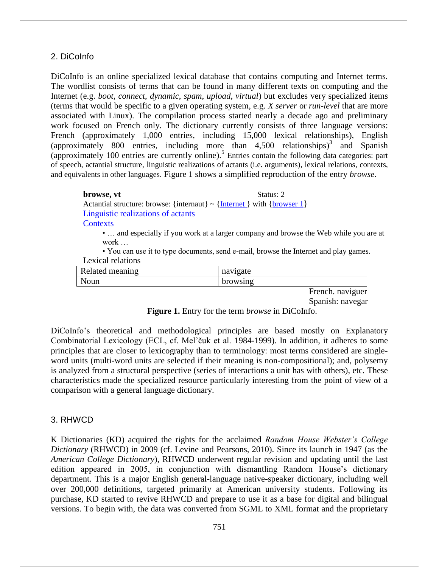## 2. DiCoInfo

DiCoInfo is an online specialized lexical database that contains computing and Internet terms. The wordlist consists of terms that can be found in many different texts on computing and the Internet (e.g. *boot*, *connect*, *dynamic*, *spam*, *upload*, *virtual*) but excludes very specialized items (terms that would be specific to a given operating system, e.g. *X server* or *run-level* that are more associated with Linux). The compilation process started nearly a decade ago and preliminary work focused on French only. The dictionary currently consists of three language versions: French (approximately 1,000 entries, including 15,000 lexical relationships), English (approximately 800 entries, including more than 4,500 relationships) 3 and Spanish (approximately 100 entries are currently online). 5 Entries contain the following data categories: part of speech, actantial structure, linguistic realizations of actants (i.e. arguments), lexical relations, contexts, and equivalents in other languages. Figure 1 shows a simplified reproduction of the entry *browse*.

## **browse, vt** Status: 2 Actantial structure: browse: {internaut}  $\sim$  {Internet } with {browser 1} Linguistic realizations of actants **Contexts**

• … and especially if you work at a larger company and browse the Web while you are at work …

• You can use it to type documents, send e-mail, browse the Internet and play games. Lexical relations

| Related meaning | navigate        |
|-----------------|-----------------|
| Noun            | <b>browsing</b> |

French. naviguer Spanish: navegar

**Figure 1.** Entry for the term *browse* in DiCoInfo.

DiCoInfo's theoretical and methodological principles are based mostly on Explanatory Combinatorial Lexicology (ECL, cf. Mel'čuk et al. 1984-1999). In addition, it adheres to some principles that are closer to lexicography than to terminology: most terms considered are singleword units (multi-word units are selected if their meaning is non-compositional); and, polysemy is analyzed from a structural perspective (series of interactions a unit has with others), etc. These characteristics made the specialized resource particularly interesting from the point of view of a comparison with a general language dictionary.

## 3. RHWCD

K Dictionaries (KD) acquired the rights for the acclaimed *Random House Webster's College Dictionary* (RHWCD) in 2009 (cf. Levine and Pearsons, 2010). Since its launch in 1947 (as the *American College Dictionary*), RHWCD underwent regular revision and updating until the last edition appeared in 2005, in conjunction with dismantling Random House's dictionary department. This is a major English general-language native-speaker dictionary, including well over 200,000 definitions, targeted primarily at American university students. Following its purchase, KD started to revive RHWCD and prepare to use it as a base for digital and bilingual versions. To begin with, the data was converted from SGML to XML format and the proprietary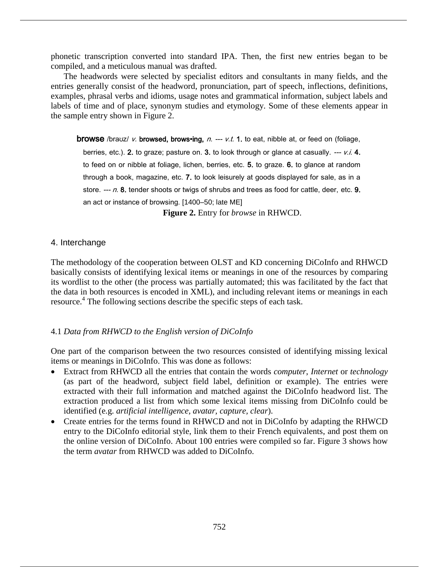phonetic transcription converted into standard IPA. Then, the first new entries began to be compiled, and a meticulous manual was drafted.

The headwords were selected by specialist editors and consultants in many fields, and the entries generally consist of the headword, pronunciation, part of speech, inflections, definitions, examples, phrasal verbs and idioms, usage notes and grammatical information, subject labels and labels of time and of place, synonym studies and etymology. Some of these elements appear in the sample entry shown in Figure 2.

**browse** /brauz/ v. browsed, brows•ing,  $n. \rightarrow \nu.t.$  1. to eat, nibble at, or feed on (foliage,

berries, etc.). 2. to graze; pasture on. 3. to look through or glance at casually.  $---$  v.i. 4. to feed on or nibble at foliage, lichen, berries, etc. 5. to graze. 6. to glance at random through a book, magazine, etc. 7. to look leisurely at goods displayed for sale, as in a store.  $-I$ . 8. tender shoots or twigs of shrubs and trees as food for cattle, deer, etc. 9. an act or instance of browsing. [1400–50; late ME]

**Figure 2.** Entry for *browse* in RHWCD.

## 4. Interchange

The methodology of the cooperation between OLST and KD concerning DiCoInfo and RHWCD basically consists of identifying lexical items or meanings in one of the resources by comparing its wordlist to the other (the process was partially automated; this was facilitated by the fact that the data in both resources is encoded in XML), and including relevant items or meanings in each resource.<sup>4</sup> The following sections describe the specific steps of each task.

## 4.1 *Data from RHWCD to the English version of DiCoInfo*

One part of the comparison between the two resources consisted of identifying missing lexical items or meanings in DiCoInfo. This was done as follows:

- Extract from RHWCD all the entries that contain the words *computer*, *Internet* or *technology* (as part of the headword, subject field label, definition or example). The entries were extracted with their full information and matched against the DiCoInfo headword list. The extraction produced a list from which some lexical items missing from DiCoInfo could be identified (e.g. *artificial intelligence, avatar, capture, clear*).
- Create entries for the terms found in RHWCD and not in DiCoInfo by adapting the RHWCD entry to the DiCoInfo editorial style, link them to their French equivalents, and post them on the online version of DiCoInfo. About 100 entries were compiled so far. Figure 3 shows how the term *avatar* from RHWCD was added to DiCoInfo.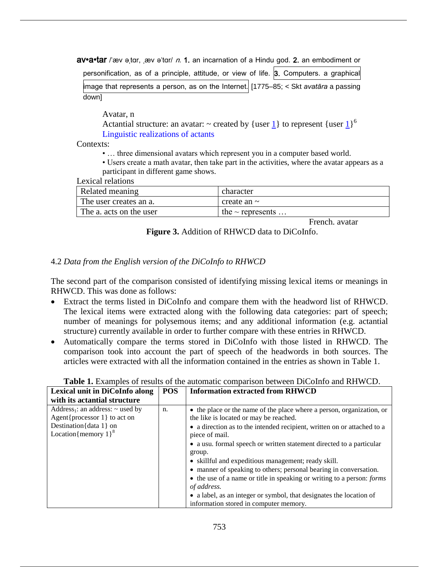**av•a•tar** /ˈæv ətɑr, ˌæv əˈtɑr/ *n.* 1. an incarnation of a Hindu god. 2. an embodiment or

| personification, as of a principle, attitude, or view of life. 3. Computers. a graphical |  |
|------------------------------------------------------------------------------------------|--|
| limage that represents a person, as on the Internet. [1775–85; < Skt avatāra a passing   |  |
| down]                                                                                    |  |

Avatar, n

Actantial structure: an avatar:  $\sim$  created by {user <u>1</u>} to represent {user 1}<sup>6</sup> Linguistic realizations of actants

Contexts:

• … three dimensional avatars which represent you in a computer based world.

• Users create a math avatar, then take part in the activities, where the avatar appears as a participant in different game shows.

Lexical relations

| Related meaning         | character             |
|-------------------------|-----------------------|
| The user creates an a.  | create an $\sim$      |
| The a. acts on the user | the $\sim$ represents |

French. avatar

**Figure 3.** Addition of RHWCD data to DiCoInfo.

## 4.2 *Data from the English version of the DiCoInfo to RHWCD*

The second part of the comparison consisted of identifying missing lexical items or meanings in RHWCD. This was done as follows:

- Extract the terms listed in DiCoInfo and compare them with the headword list of RHWCD. The lexical items were extracted along with the following data categories: part of speech; number of meanings for polysemous items; and any additional information (e.g. actantial structure) currently available in order to further compare with these entries in RHWCD.
- Automatically compare the terms stored in DiCoInfo with those listed in RHWCD. The comparison took into account the part of speech of the headwords in both sources. The articles were extracted with all the information contained in the entries as shown in Table 1.

| Lexical unit in DiCoInfo along                                                                                                                          | <b>POS</b> | <b>Information extracted from RHWCD</b>                                                                                                                                                                                                                                                     |
|---------------------------------------------------------------------------------------------------------------------------------------------------------|------------|---------------------------------------------------------------------------------------------------------------------------------------------------------------------------------------------------------------------------------------------------------------------------------------------|
| with its actantial structure                                                                                                                            |            |                                                                                                                                                                                                                                                                                             |
| Address <sub>1</sub> : an address: $\sim$ used by<br>Agent{processor $1$ } to act on<br>Destination $\{data 1\}$ on<br>Location{memory $1$ <sup>8</sup> | n.         | • the place or the name of the place where a person, organization, or<br>the like is located or may be reached.<br>• a direction as to the intended recipient, written on or attached to a<br>piece of mail.                                                                                |
|                                                                                                                                                         |            | • a usu. formal speech or written statement directed to a particular<br>group.<br>• skillful and expeditious management; ready skill.<br>• manner of speaking to others; personal bearing in conversation.<br>• the use of a name or title in speaking or writing to a person: <i>forms</i> |
|                                                                                                                                                         |            | of address.<br>• a label, as an integer or symbol, that designates the location of<br>information stored in computer memory.                                                                                                                                                                |

**Table 1.** Examples of results of the automatic comparison between DiCoInfo and RHWCD.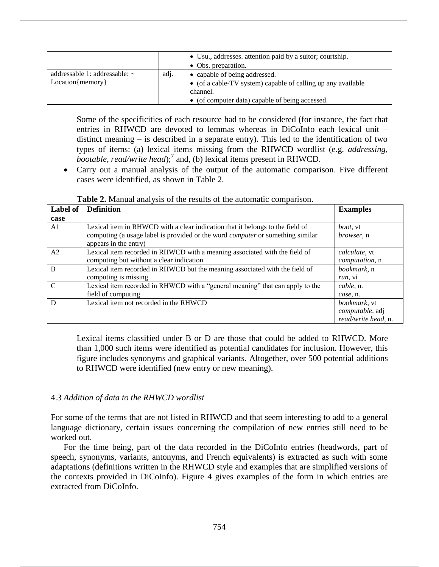|                                                          |      | • Usu., addresses. attention paid by a suitor; courtship.<br>• Obs. preparation.                                                                             |
|----------------------------------------------------------|------|--------------------------------------------------------------------------------------------------------------------------------------------------------------|
| addressable 1: addressable: $\sim$<br>$Location{memory}$ | adj. | • capable of being addressed.<br>• (of a cable-TV system) capable of calling up any available<br>channel.<br>• (of computer data) capable of being accessed. |

Some of the specificities of each resource had to be considered (for instance, the fact that entries in RHWCD are devoted to lemmas whereas in DiCoInfo each lexical unit – distinct meaning – is described in a separate entry). This led to the identification of two types of items: (a) lexical items missing from the RHWCD wordlist (e.g. *addressing, bootable, read/write head*);<sup>7</sup> and, (b) lexical items present in RHWCD.

 Carry out a manual analysis of the output of the automatic comparison. Five different cases were identified, as shown in Table 2.

| <b>Table 2.</b> Manual analysis of the results of the automatic comparison. |  |  |  |  |  |  |
|-----------------------------------------------------------------------------|--|--|--|--|--|--|
|-----------------------------------------------------------------------------|--|--|--|--|--|--|

| Label of       | <b>Definition</b>                                                                                                                                                      | <b>Examples</b>                        |
|----------------|------------------------------------------------------------------------------------------------------------------------------------------------------------------------|----------------------------------------|
| case           |                                                                                                                                                                        |                                        |
| A1             | Lexical item in RHWCD with a clear indication that it belongs to the field of<br>computing (a usage label is provided or the word <i>computer</i> or something similar | <i>boot</i> , vt<br><i>browser</i> , n |
|                | appears in the entry)                                                                                                                                                  |                                        |
| A <sub>2</sub> | Lexical item recorded in RHWCD with a meaning associated with the field of                                                                                             | <i>calculate</i> , vt                  |
|                | computing but without a clear indication                                                                                                                               | <i>computation</i> , n                 |
| B              | Lexical item recorded in RHWCD but the meaning associated with the field of                                                                                            | <i>bookmark</i> , n                    |
|                | computing is missing                                                                                                                                                   | run, vi                                |
| $\mathcal{C}$  | Lexical item recorded in RHWCD with a "general meaning" that can apply to the                                                                                          | cable, n.                              |
|                | field of computing                                                                                                                                                     | case, n.                               |
| D              | Lexical item not recorded in the RHWCD                                                                                                                                 | <i>bookmark</i> , vt                   |
|                |                                                                                                                                                                        | computable, adj                        |
|                |                                                                                                                                                                        | read/write head, n.                    |

Lexical items classified under B or D are those that could be added to RHWCD. More than 1,000 such items were identified as potential candidates for inclusion. However, this figure includes synonyms and graphical variants. Altogether, over 500 potential additions to RHWCD were identified (new entry or new meaning).

## 4.3 *Addition of data to the RHWCD wordlist*

For some of the terms that are not listed in RHWCD and that seem interesting to add to a general language dictionary, certain issues concerning the compilation of new entries still need to be worked out.

For the time being, part of the data recorded in the DiCoInfo entries (headwords, part of speech, synonyms, variants, antonyms, and French equivalents) is extracted as such with some adaptations (definitions written in the RHWCD style and examples that are simplified versions of the contexts provided in DiCoInfo). Figure 4 gives examples of the form in which entries are extracted from DiCoInfo.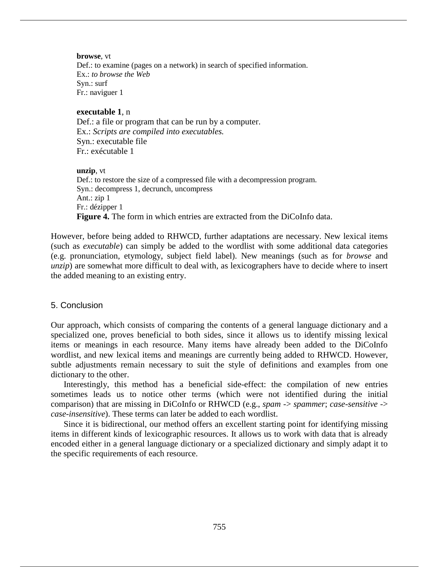#### **browse**, vt

Def.: to examine (pages on a network) in search of specified information. Ex.: *to browse the Web* Syn.: surf Fr.: naviguer 1

### **executable 1**, n

Def.: a file or program that can be run by a computer. Ex.: *Scripts are compiled into executables.* Syn.: executable file Fr.: exécutable 1

#### **unzip**, vt

Def.: to restore the size of a compressed file with a decompression program. Syn.: decompress 1, decrunch, uncompress Ant.: zip 1 Fr.: dézipper 1 **Figure 4.** The form in which entries are extracted from the DiCoInfo data.

However, before being added to RHWCD, further adaptations are necessary. New lexical items (such as *executable*) can simply be added to the wordlist with some additional data categories (e.g. pronunciation, etymology, subject field label). New meanings (such as for *browse* and *unzip*) are somewhat more difficult to deal with, as lexicographers have to decide where to insert the added meaning to an existing entry.

## 5. Conclusion

Our approach, which consists of comparing the contents of a general language dictionary and a specialized one, proves beneficial to both sides, since it allows us to identify missing lexical items or meanings in each resource. Many items have already been added to the DiCoInfo wordlist, and new lexical items and meanings are currently being added to RHWCD. However, subtle adjustments remain necessary to suit the style of definitions and examples from one dictionary to the other.

Interestingly, this method has a beneficial side-effect: the compilation of new entries sometimes leads us to notice other terms (which were not identified during the initial comparison) that are missing in DiCoInfo or RHWCD (e.g., *spam* -> *spammer*; *case-sensitive* -> *case-insensitive*). These terms can later be added to each wordlist.

Since it is bidirectional, our method offers an excellent starting point for identifying missing items in different kinds of lexicographic resources. It allows us to work with data that is already encoded either in a general language dictionary or a specialized dictionary and simply adapt it to the specific requirements of each resource.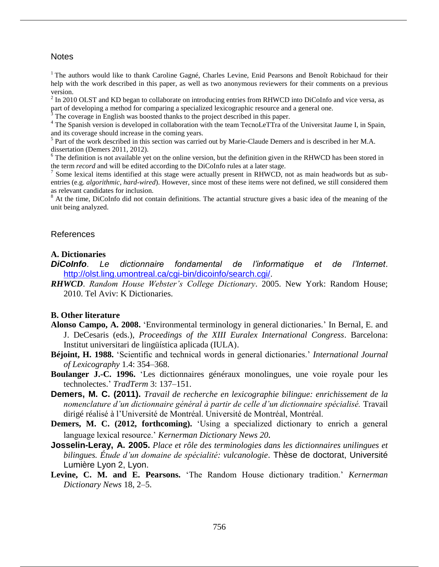### **Notes**

<sup>1</sup> The authors would like to thank Caroline Gagné, Charles Levine, Enid Pearsons and Benoît Robichaud for their help with the work described in this paper, as well as two anonymous reviewers for their comments on a previous version.

 $2 \text{ In } 2010 \text{ OLST}$  and KD began to collaborate on introducing entries from RHWCD into DiCoInfo and vice versa, as part of developing a method for comparing a specialized lexicographic resource and a general one.

<sup>3</sup> The coverage in English was boosted thanks to the project described in this paper.

<sup>4</sup> The Spanish version is developed in collaboration with the team TecnoLeTTra of the Universitat Jaume I, in Spain, and its coverage should increase in the coming years.

<sup>5</sup> Part of the work described in this section was carried out by Marie-Claude Demers and is described in her M.A. dissertation (Demers 2011, 2012).

 $6$  The definition is not available yet on the online version, but the definition given in the RHWCD has been stored in the term *record* and will be edited according to the DiCoInfo rules at a later stage.

 $<sup>7</sup>$  Some lexical items identified at this stage were actually present in RHWCD, not as main headwords but as sub-</sup> entries (e.g. *algorithmic, hard-wired*). However, since most of these items were not defined, we still considered them as relevant candidates for inclusion.

 $8$  At the time, DiCoInfo did not contain definitions. The actantial structure gives a basic idea of the meaning of the unit being analyzed.

#### References

#### **A. Dictionaries**

*DiCoInfo*. *Le dictionnaire fondamental de l'informatique et de l'Internet*. http://olst.ling.umontreal.ca/cgi-bin/dicoinfo/search.cgi/.

*RHWCD*. *Random House Webster's College Dictionary*. 2005. New York: Random House; 2010. Tel Aviv: K Dictionaries.

#### **B. Other literature**

- **Alonso Campo, A. 2008.** 'Environmental terminology in general dictionaries.' In Bernal, E. and J. DeCesaris (eds.), *Proceedings of the XIII Euralex International Congress*. Barcelona: Institut universitari de lingüística aplicada (IULA).
- **Béjoint, H. 1988.** 'Scientific and technical words in general dictionaries.' *International Journal of Lexicography* 1.4: 354–368.
- **Boulanger J.-C. 1996.** 'Les dictionnaires généraux monolingues, une voie royale pour les technolectes.' *TradTerm* 3: 137–151.
- **Demers, M. C. (2011).** *Travail de recherche en lexicographie bilingue: enrichissement de la nomenclature d'un dictionnaire général à partir de celle d'un dictionnaire spécialisé.* Travail dirigé réalisé à l'Université de Montréal. Université de Montréal, Montréal.
- **Demers, M. C. (2012, forthcoming).** 'Using a specialized dictionary to enrich a general language lexical resource.' *Kernerman Dictionary News 20.*
- **Josselin-Leray, A. 2005.** *Place et rôle des terminologies dans les dictionnaires unilingues et bilingues. Étude d'un domaine de spécialité: vulcanologie*. Thèse de doctorat, Université Lumière Lyon 2, Lyon.
- **Levine, C. M. and E. Pearsons.** 'The Random House dictionary tradition.' *Kernerman Dictionary News* 18, 2–5.